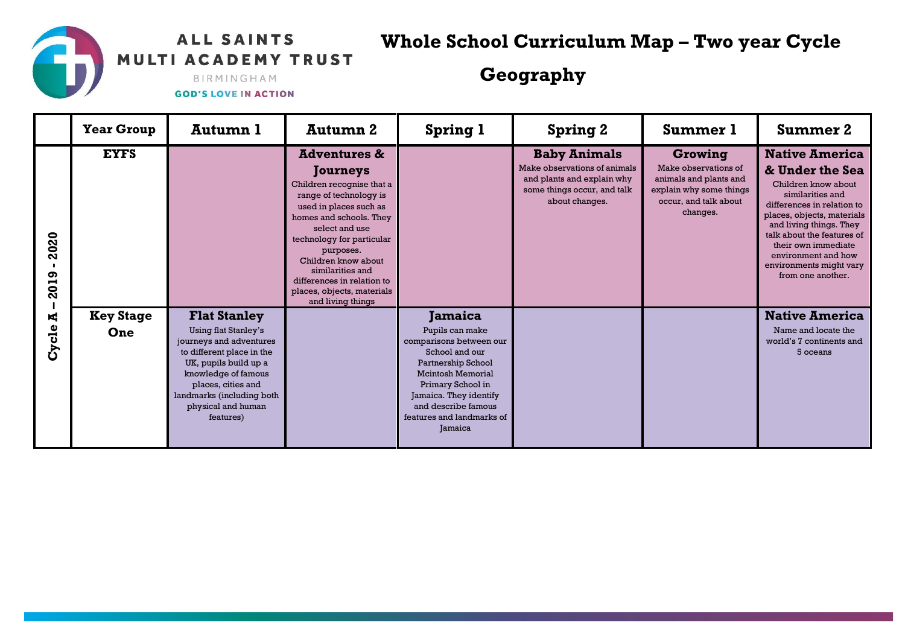## ALL SAINTS MULTI ACADEMY TRUST

**Whole School Curriculum Map – Two year Cycle**

## **Geography**

BIRMINGHAM **GOD'S LOVE IN ACTION** 

|                     | <b>Year Group</b> | Autumn 1                                                                                                                                                                                                                  | <b>Autumn 2</b>                                                                                                                                                                                                                                                                                                                         | <b>Spring 1</b>                                                                                                                                                                                                              | <b>Spring 2</b>                                                                                                                    | <b>Summer 1</b>                                                                                                           | <b>Summer 2</b>                                                                                                                                                                                                                                                                                        |
|---------------------|-------------------|---------------------------------------------------------------------------------------------------------------------------------------------------------------------------------------------------------------------------|-----------------------------------------------------------------------------------------------------------------------------------------------------------------------------------------------------------------------------------------------------------------------------------------------------------------------------------------|------------------------------------------------------------------------------------------------------------------------------------------------------------------------------------------------------------------------------|------------------------------------------------------------------------------------------------------------------------------------|---------------------------------------------------------------------------------------------------------------------------|--------------------------------------------------------------------------------------------------------------------------------------------------------------------------------------------------------------------------------------------------------------------------------------------------------|
| 2020<br>၈<br>5<br>Ñ | <b>EYFS</b>       |                                                                                                                                                                                                                           | <b>Adventures &amp;</b><br>Journeys<br>Children recognise that a<br>range of technology is<br>used in places such as<br>homes and schools. They<br>select and use<br>technology for particular<br>purposes.<br>Children know about<br>similarities and<br>differences in relation to<br>places, objects, materials<br>and living things |                                                                                                                                                                                                                              | <b>Baby Animals</b><br>Make observations of animals<br>and plants and explain why<br>some things occur, and talk<br>about changes. | Growing<br>Make observations of<br>animals and plants and<br>explain why some things<br>occur, and talk about<br>changes. | <b>Native America</b><br>& Under the Sea<br>Children know about<br>similarities and<br>differences in relation to<br>places, objects, materials<br>and living things. They<br>talk about the features of<br>their own immediate<br>environment and how<br>environments might vary<br>from one another. |
| $\blacksquare$      | <b>Key Stage</b>  | <b>Flat Stanley</b>                                                                                                                                                                                                       |                                                                                                                                                                                                                                                                                                                                         | Jamaica                                                                                                                                                                                                                      |                                                                                                                                    |                                                                                                                           | <b>Native America</b>                                                                                                                                                                                                                                                                                  |
| Cycle               | One               | <b>Using flat Stanley's</b><br>journeys and adventures<br>to different place in the<br>UK, pupils build up a<br>knowledge of famous<br>places, cities and<br>landmarks (including both<br>physical and human<br>features) |                                                                                                                                                                                                                                                                                                                                         | Pupils can make<br>comparisons between our<br>School and our<br>Partnership School<br><b>Mcintosh Memorial</b><br>Primary School in<br>Jamaica. They identify<br>and describe famous<br>features and landmarks of<br>Jamaica |                                                                                                                                    |                                                                                                                           | Name and locate the<br>world's 7 continents and<br>5 oceans                                                                                                                                                                                                                                            |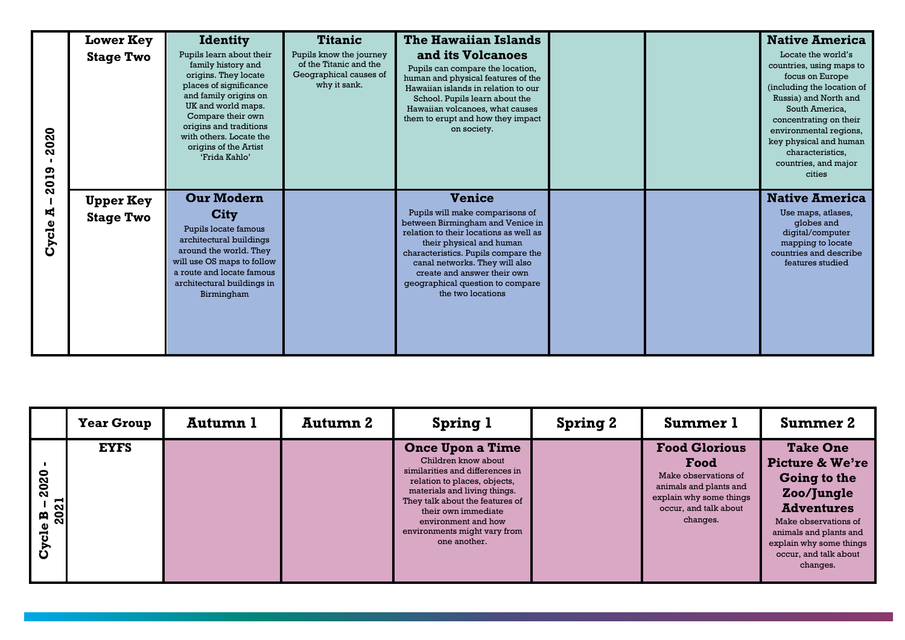| 2020<br>2019<br>K,<br>Cycle | <b>Lower Key</b><br><b>Stage Two</b> | <b>Identity</b><br>Pupils learn about their<br>family history and<br>origins. They locate<br>places of significance<br>and family origins on<br>UK and world maps.<br>Compare their own<br>origins and traditions<br>with others. Locate the<br>origins of the Artist<br>'Frida Kahlo' | <b>Titanic</b><br>Pupils know the journey<br>of the Titanic and the<br>Geographical causes of<br>why it sank. | The Hawaiian Islands<br>and its Volcanoes<br>Pupils can compare the location,<br>human and physical features of the<br>Hawaiian islands in relation to our<br>School. Pupils learn about the<br>Hawaiian volcanoes, what causes<br>them to erupt and how they impact<br>on society.                                         |  | <b>Native America</b><br>Locate the world's<br>countries, using maps to<br>focus on Europe<br>(including the location of<br>Russia) and North and<br>South America,<br>concentrating on their<br>environmental regions,<br>key physical and human<br>characteristics,<br>countries, and major<br>cities |
|-----------------------------|--------------------------------------|----------------------------------------------------------------------------------------------------------------------------------------------------------------------------------------------------------------------------------------------------------------------------------------|---------------------------------------------------------------------------------------------------------------|-----------------------------------------------------------------------------------------------------------------------------------------------------------------------------------------------------------------------------------------------------------------------------------------------------------------------------|--|---------------------------------------------------------------------------------------------------------------------------------------------------------------------------------------------------------------------------------------------------------------------------------------------------------|
|                             | <b>Upper Key</b><br><b>Stage Two</b> | <b>Our Modern</b><br>City<br>Pupils locate famous<br>architectural buildings<br>around the world. They<br>will use OS maps to follow<br>a route and locate famous<br>architectural buildings in<br>Birmingham                                                                          |                                                                                                               | <b>Venice</b><br>Pupils will make comparisons of<br>between Birmingham and Venice in<br>relation to their locations as well as<br>their physical and human<br>characteristics. Pupils compare the<br>canal networks. They will also<br>create and answer their own<br>geographical question to compare<br>the two locations |  | <b>Native America</b><br>Use maps, atlases,<br>globes and<br>digital/computer<br>mapping to locate<br>countries and describe<br>features studied                                                                                                                                                        |

|                                                              | <b>Year Group</b> | Autumn 1 | Autumn 2 | <b>Spring 1</b>                                                                                                                                                                                                                                                                    | <b>Spring 2</b> | <b>Summer 1</b>                                                                                                                                | <b>Summer 2</b>                                                                                                                                                                                                    |
|--------------------------------------------------------------|-------------------|----------|----------|------------------------------------------------------------------------------------------------------------------------------------------------------------------------------------------------------------------------------------------------------------------------------------|-----------------|------------------------------------------------------------------------------------------------------------------------------------------------|--------------------------------------------------------------------------------------------------------------------------------------------------------------------------------------------------------------------|
| 2020<br>2021<br>$\mathbf{a}$<br>c1e<br>$\tilde{\mathcal{S}}$ | <b>EYFS</b>       |          |          | <b>Once Upon a Time</b><br>Children know about<br>similarities and differences in<br>relation to places, objects,<br>materials and living things.<br>They talk about the features of<br>their own immediate<br>environment and how<br>environments might vary from<br>one another. |                 | <b>Food Glorious</b><br>Food<br>Make observations of<br>animals and plants and<br>explain why some things<br>occur, and talk about<br>changes. | <b>Take One</b><br><b>Picture &amp; We're</b><br>Going to the<br>Zoo/Jungle<br><b>Adventures</b><br>Make observations of<br>animals and plants and<br>explain why some things<br>occur, and talk about<br>changes. |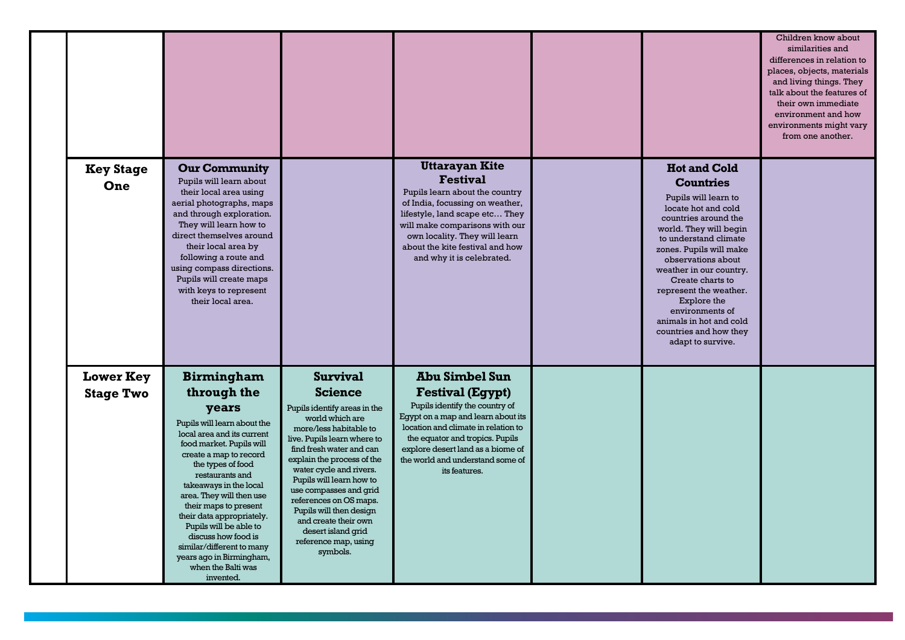|                                      |                                                                                                                                                                                                                                                                                                                                                                                                                                                               |                                                                                                                                                                                                                                                                                                                                                                                                                                 |                                                                                                                                                                                                                                                                                              |                                                                                                                                                                                                                                                                                                                                                                                                         | Children know about<br>similarities and<br>differences in relation to<br>places, objects, materials<br>and living things. They<br>talk about the features of<br>their own immediate<br>environment and how<br>environments might vary<br>from one another. |
|--------------------------------------|---------------------------------------------------------------------------------------------------------------------------------------------------------------------------------------------------------------------------------------------------------------------------------------------------------------------------------------------------------------------------------------------------------------------------------------------------------------|---------------------------------------------------------------------------------------------------------------------------------------------------------------------------------------------------------------------------------------------------------------------------------------------------------------------------------------------------------------------------------------------------------------------------------|----------------------------------------------------------------------------------------------------------------------------------------------------------------------------------------------------------------------------------------------------------------------------------------------|---------------------------------------------------------------------------------------------------------------------------------------------------------------------------------------------------------------------------------------------------------------------------------------------------------------------------------------------------------------------------------------------------------|------------------------------------------------------------------------------------------------------------------------------------------------------------------------------------------------------------------------------------------------------------|
| <b>Key Stage</b><br>One              | <b>Our Community</b><br>Pupils will learn about<br>their local area using<br>aerial photographs, maps<br>and through exploration.<br>They will learn how to<br>direct themselves around<br>their local area by<br>following a route and<br>using compass directions.<br>Pupils will create maps<br>with keys to represent<br>their local area.                                                                                                                |                                                                                                                                                                                                                                                                                                                                                                                                                                 | <b>Uttarayan Kite</b><br><b>Festival</b><br>Pupils learn about the country<br>of India, focussing on weather,<br>lifestyle, land scape etc They<br>will make comparisons with our<br>own locality. They will learn<br>about the kite festival and how<br>and why it is celebrated.           | <b>Hot and Cold</b><br><b>Countries</b><br>Pupils will learn to<br>locate hot and cold<br>countries around the<br>world. They will begin<br>to understand climate<br>zones. Pupils will make<br>observations about<br>weather in our country.<br>Create charts to<br>represent the weather.<br>Explore the<br>environments of<br>animals in hot and cold<br>countries and how they<br>adapt to survive. |                                                                                                                                                                                                                                                            |
| <b>Lower Key</b><br><b>Stage Two</b> | <b>Birmingham</b><br>through the<br>years<br>Pupils will learn about the<br>local area and its current<br>food market. Pupils will<br>create a map to record<br>the types of food<br>restaurants and<br>takeaways in the local<br>area. They will then use<br>their maps to present<br>their data appropriately.<br>Pupils will be able to<br>discuss how food is<br>similar/different to many<br>years ago in Birmingham,<br>when the Balti was<br>invented. | <b>Survival</b><br><b>Science</b><br>Pupils identify areas in the<br>world which are<br>more/less habitable to<br>live. Pupils learn where to<br>find fresh water and can<br>explain the process of the<br>water cycle and rivers.<br>Pupils will learn how to<br>use compasses and grid<br>references on OS maps.<br>Pupils will then design<br>and create their own<br>desert island grid<br>reference map, using<br>symbols. | <b>Abu Simbel Sun</b><br><b>Festival (Egypt)</b><br>Pupils identify the country of<br>Egypt on a map and learn about its<br>location and climate in relation to<br>the equator and tropics. Pupils<br>explore desert land as a biome of<br>the world and understand some of<br>its features. |                                                                                                                                                                                                                                                                                                                                                                                                         |                                                                                                                                                                                                                                                            |